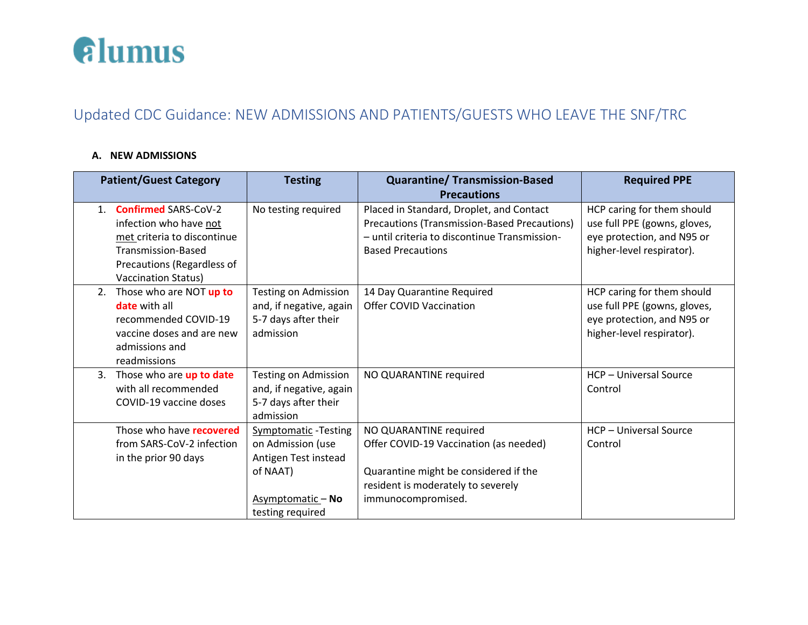

## Updated CDC Guidance: NEW ADMISSIONS AND PATIENTS/GUESTS WHO LEAVE THE SNF/TRC

## **A. NEW ADMISSIONS**

| <b>Patient/Guest Category</b> |                                                                                                                                                                        | <b>Testing</b>                                                                                                               | <b>Quarantine/ Transmission-Based</b>                                                                                                                                 | <b>Required PPE</b>                                                                                                   |
|-------------------------------|------------------------------------------------------------------------------------------------------------------------------------------------------------------------|------------------------------------------------------------------------------------------------------------------------------|-----------------------------------------------------------------------------------------------------------------------------------------------------------------------|-----------------------------------------------------------------------------------------------------------------------|
|                               |                                                                                                                                                                        |                                                                                                                              | <b>Precautions</b>                                                                                                                                                    |                                                                                                                       |
| $1_{-}$                       | <b>Confirmed SARS-CoV-2</b><br>infection who have not<br>met criteria to discontinue<br>Transmission-Based<br>Precautions (Regardless of<br><b>Vaccination Status)</b> | No testing required                                                                                                          | Placed in Standard, Droplet, and Contact<br>Precautions (Transmission-Based Precautions)<br>- until criteria to discontinue Transmission-<br><b>Based Precautions</b> | HCP caring for them should<br>use full PPE (gowns, gloves,<br>eye protection, and N95 or<br>higher-level respirator). |
| 2.                            | Those who are NOT up to<br><b>date</b> with all<br>recommended COVID-19<br>vaccine doses and are new<br>admissions and<br>readmissions                                 | <b>Testing on Admission</b><br>and, if negative, again<br>5-7 days after their<br>admission                                  | 14 Day Quarantine Required<br>Offer COVID Vaccination                                                                                                                 | HCP caring for them should<br>use full PPE (gowns, gloves,<br>eye protection, and N95 or<br>higher-level respirator). |
| 3.                            | Those who are up to date<br>with all recommended<br>COVID-19 vaccine doses                                                                                             | Testing on Admission<br>and, if negative, again<br>5-7 days after their<br>admission                                         | NO QUARANTINE required                                                                                                                                                | HCP - Universal Source<br>Control                                                                                     |
|                               | Those who have recovered<br>from SARS-CoV-2 infection<br>in the prior 90 days                                                                                          | <b>Symptomatic-Testing</b><br>on Admission (use<br>Antigen Test instead<br>of NAAT)<br>Asymptomatic - No<br>testing required | NO QUARANTINE required<br>Offer COVID-19 Vaccination (as needed)<br>Quarantine might be considered if the<br>resident is moderately to severely<br>immunocompromised. | HCP - Universal Source<br>Control                                                                                     |